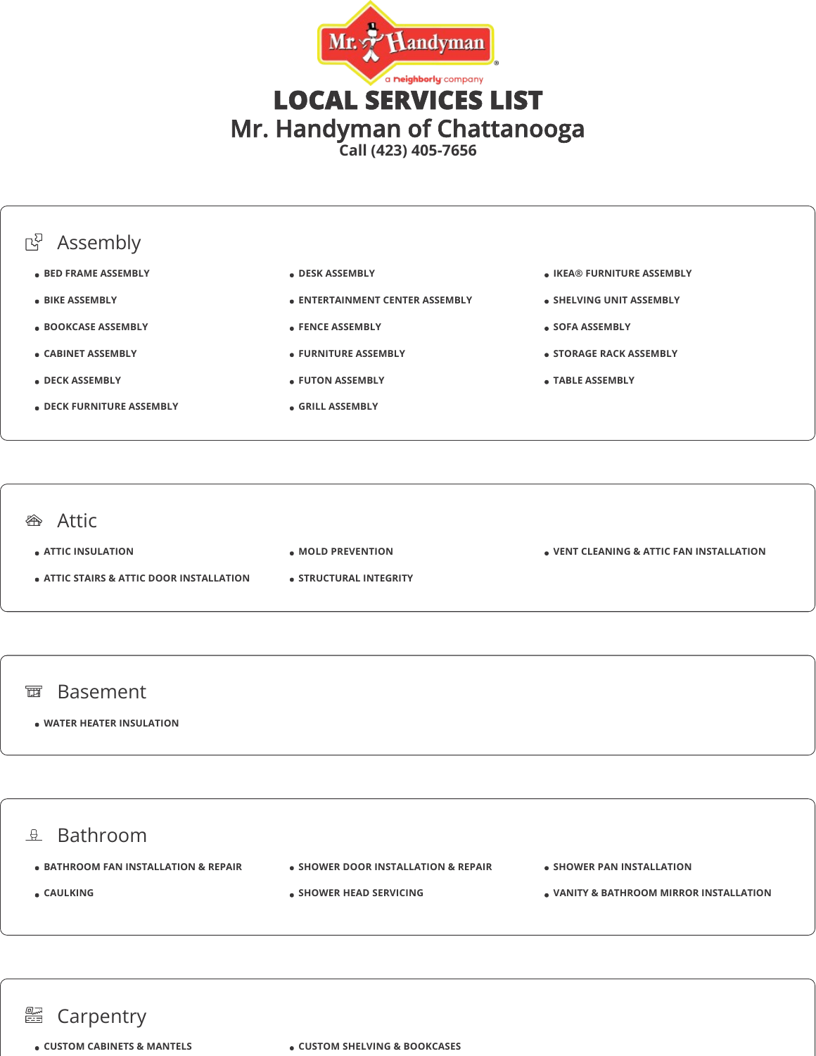



#### **<sup>企</sup>**Attic

**ATTIC INSULATION**

- **ATTIC STAIRS & ATTIC DOOR INSTALLATION**
- **MOLD PREVENTION**
- **STRUCTURAL INTEGRITY**

**VENT CLEANING & ATTIC FAN INSTALLATION**

#### 面 Basement

**WATER HEATER INSULATION**

### $2$  Bathroom  $\bullet$  **BATHROOM FAN INSTALLATION & REPAIR CAULKING • SHOWER DOOR INSTALLATION & REPAIR SHOWER HEAD SERVICING • SHOWER PAN INSTALLATION VANITY & BATHROOM MIRROR INSTALLATION**

## **■ Carpentry**

**CUSTOM CABINETS & MANTELS CUSTOM SHELVING & BOOKCASES**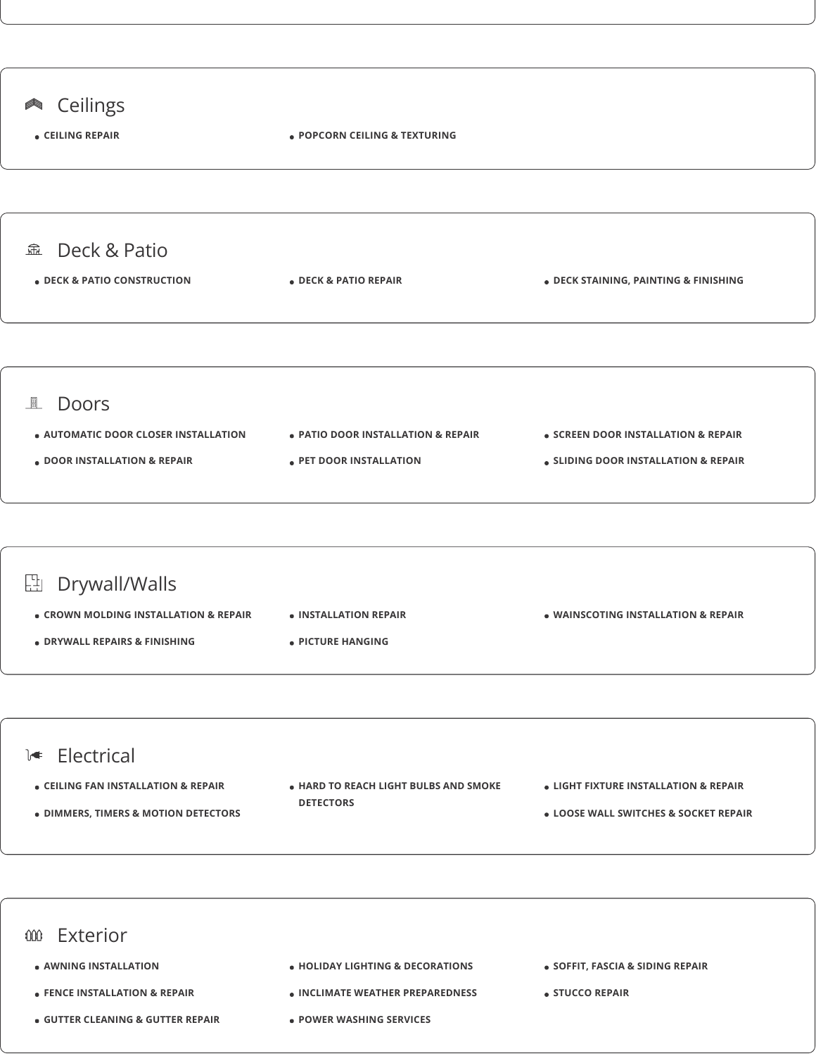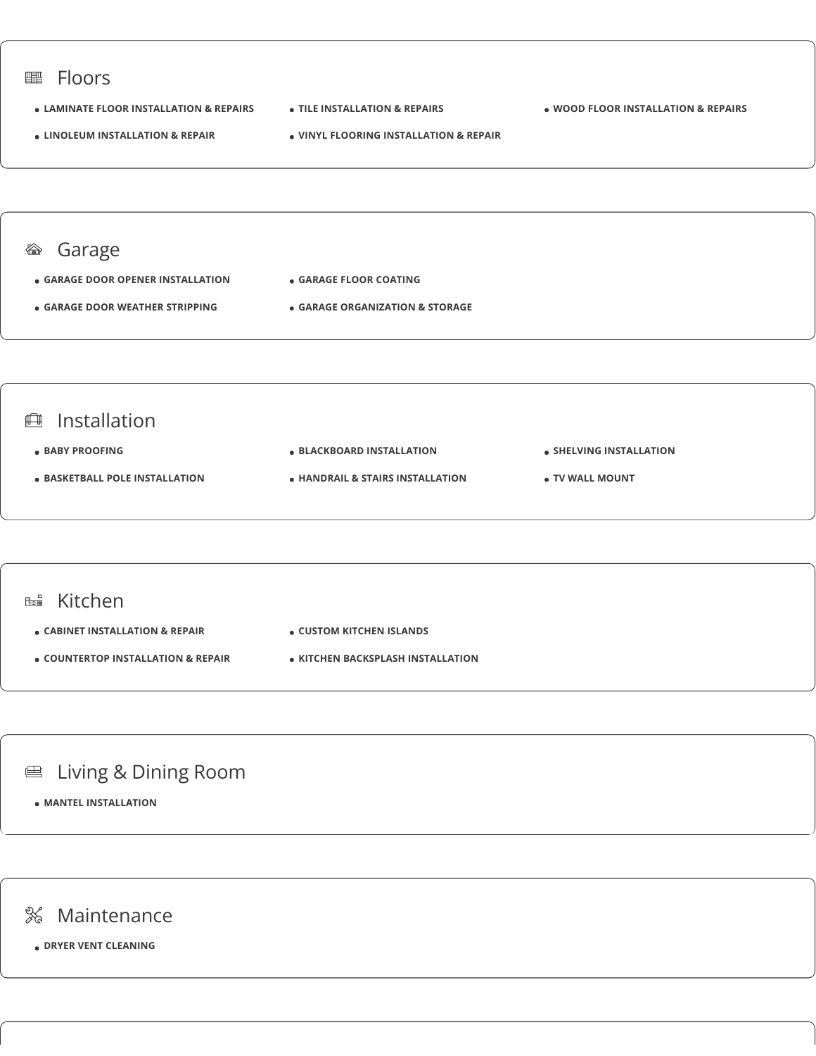